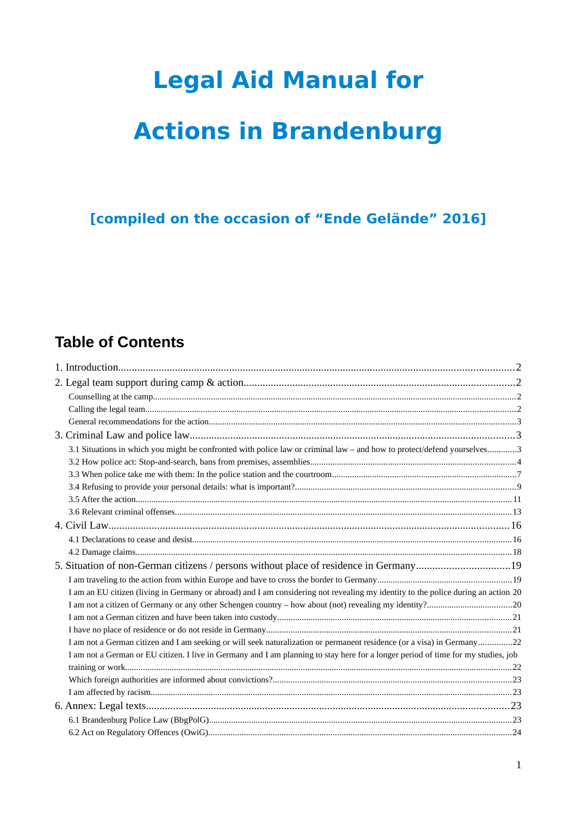# **Legal Aid Manual for Actions in Brandenburg**

**[compiled on the occasion of "Ende Gelände" 2016]**

# **Table of Contents**

| 3.1 Situations in which you might be confronted with police law or criminal law - and how to protect/defend yourselves3           |  |
|-----------------------------------------------------------------------------------------------------------------------------------|--|
|                                                                                                                                   |  |
|                                                                                                                                   |  |
|                                                                                                                                   |  |
|                                                                                                                                   |  |
|                                                                                                                                   |  |
|                                                                                                                                   |  |
|                                                                                                                                   |  |
|                                                                                                                                   |  |
| 5. Situation of non-German citizens / persons without place of residence in Germany19                                             |  |
|                                                                                                                                   |  |
| I am an EU citizen (living in Germany or abroad) and I am considering not revealing my identity to the police during an action 20 |  |
|                                                                                                                                   |  |
|                                                                                                                                   |  |
|                                                                                                                                   |  |
| I am not a German citizen and I am seeking or will seek naturalization or permanent residence (or a visa) in Germany22            |  |
| I am not a German or EU citizen. I live in Germany and I am planning to stay here for a longer period of time for my studies, job |  |
|                                                                                                                                   |  |
|                                                                                                                                   |  |
|                                                                                                                                   |  |
|                                                                                                                                   |  |
|                                                                                                                                   |  |
|                                                                                                                                   |  |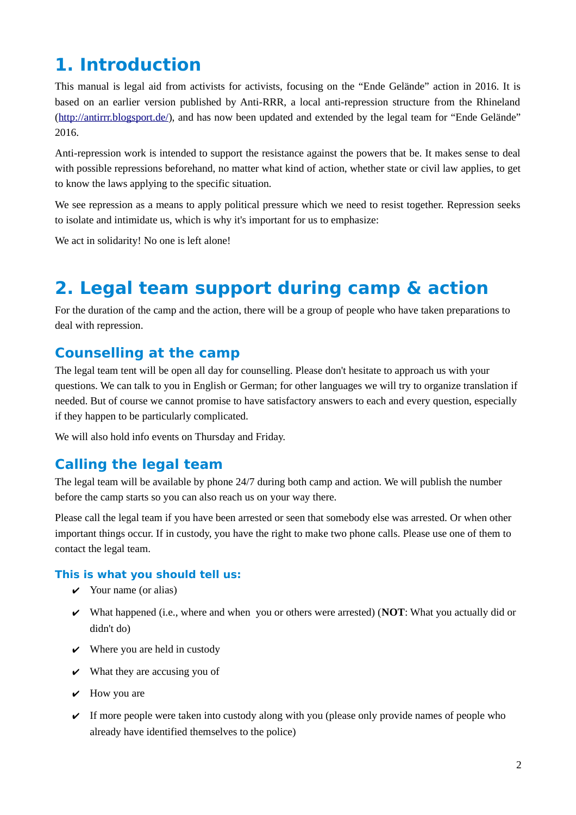# <span id="page-1-0"></span>**1. Introduction**

This manual is legal aid from activists for activists, focusing on the "Ende Gelände" action in 2016. It is based on an earlier version published by Anti-RRR, a local anti-repression structure from the Rhineland [\(http://antirrr.blogsport.de/\)](http://antirrr.blogsport.de/), and has now been updated and extended by the legal team for "Ende Gelände" 2016.

Anti-repression work is intended to support the resistance against the powers that be. It makes sense to deal with possible repressions beforehand, no matter what kind of action, whether state or civil law applies, to get to know the laws applying to the specific situation.

We see repression as a means to apply political pressure which we need to resist together. Repression seeks to isolate and intimidate us, which is why it's important for us to emphasize:

We act in solidarity! No one is left alone!

# <span id="page-1-3"></span>**2. Legal team support during camp & action**

For the duration of the camp and the action, there will be a group of people who have taken preparations to deal with repression.

# <span id="page-1-2"></span>**Counselling at the camp**

The legal team tent will be open all day for counselling. Please don't hesitate to approach us with your questions. We can talk to you in English or German; for other languages we will try to organize translation if needed. But of course we cannot promise to have satisfactory answers to each and every question, especially if they happen to be particularly complicated.

We will also hold info events on Thursday and Friday.

# <span id="page-1-1"></span>**Calling the legal team**

The legal team will be available by phone 24/7 during both camp and action. We will publish the number before the camp starts so you can also reach us on your way there.

Please call the legal team if you have been arrested or seen that somebody else was arrested. Or when other important things occur. If in custody, you have the right to make two phone calls. Please use one of them to contact the legal team.

#### **This is what you should tell us:**

- $\checkmark$  Your name (or alias)
- ✔ What happened (i.e., where and when you or others were arrested) (**NOT**: What you actually did or didn't do)
- $\boldsymbol{\checkmark}$  Where you are held in custody
- $\boldsymbol{\checkmark}$  What they are accusing you of
- $\boldsymbol{\checkmark}$  How you are
- $\vee$  If more people were taken into custody along with you (please only provide names of people who already have identified themselves to the police)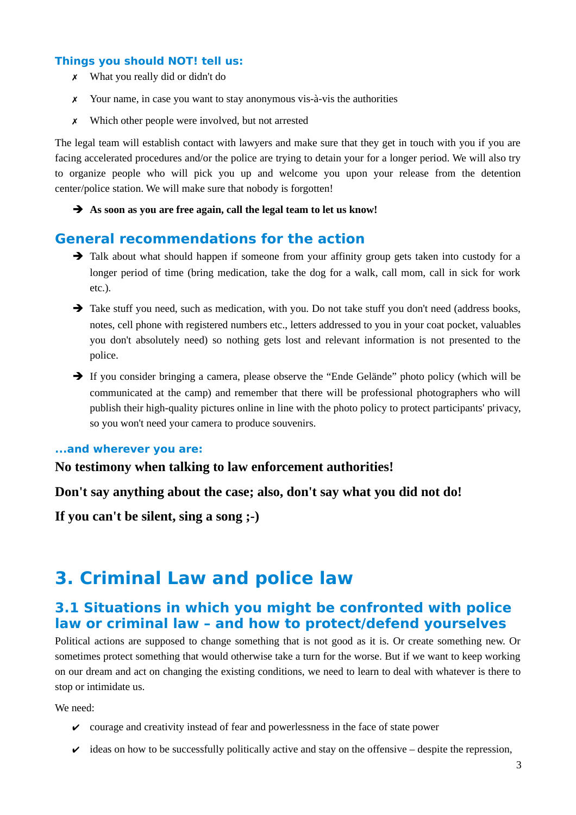### **Things you should NOT! tell us:**

- ✗ What you really did or didn't do
- ✗ Your name, in case you want to stay anonymous vis-à-vis the authorities
- ✗ Which other people were involved, but not arrested

The legal team will establish contact with lawyers and make sure that they get in touch with you if you are facing accelerated procedures and/or the police are trying to detain your for a longer period. We will also try to organize people who will pick you up and welcome you upon your release from the detention center/police station. We will make sure that nobody is forgotten!

➔ **As soon as you are free again, call the legal team to let us know!**

# <span id="page-2-2"></span>**General recommendations for the action**

- → Talk about what should happen if someone from your affinity group gets taken into custody for a longer period of time (bring medication, take the dog for a walk, call mom, call in sick for work etc.).
- → Take stuff you need, such as medication, with you. Do not take stuff you don't need (address books, notes, cell phone with registered numbers etc., letters addressed to you in your coat pocket, valuables you don't absolutely need) so nothing gets lost and relevant information is not presented to the police.
- ➔ If you consider bringing a camera, please observe the "Ende Gelände" photo policy (which will be communicated at the camp) and remember that there will be professional photographers who will publish their high-quality pictures online in line with the photo policy to protect participants' privacy, so you won't need your camera to produce souvenirs.

#### **...and wherever you are:**

# **No testimony when talking to law enforcement authorities!**

**Don't say anything about the case; also, don't say what you did not do!**

**If you can't be silent, sing a song ;-)**

# <span id="page-2-1"></span>**3. Criminal Law and police law**

# <span id="page-2-0"></span>**3.1 Situations in which you might be confronted with police law or criminal law – and how to protect/defend yourselves**

Political actions are supposed to change something that is not good as it is. Or create something new. Or sometimes protect something that would otherwise take a turn for the worse. But if we want to keep working on our dream and act on changing the existing conditions, we need to learn to deal with whatever is there to stop or intimidate us.

We need:

- $\triangleright$  courage and creativity instead of fear and powerlessness in the face of state power
- $\checkmark$  ideas on how to be successfully politically active and stay on the offensive despite the repression,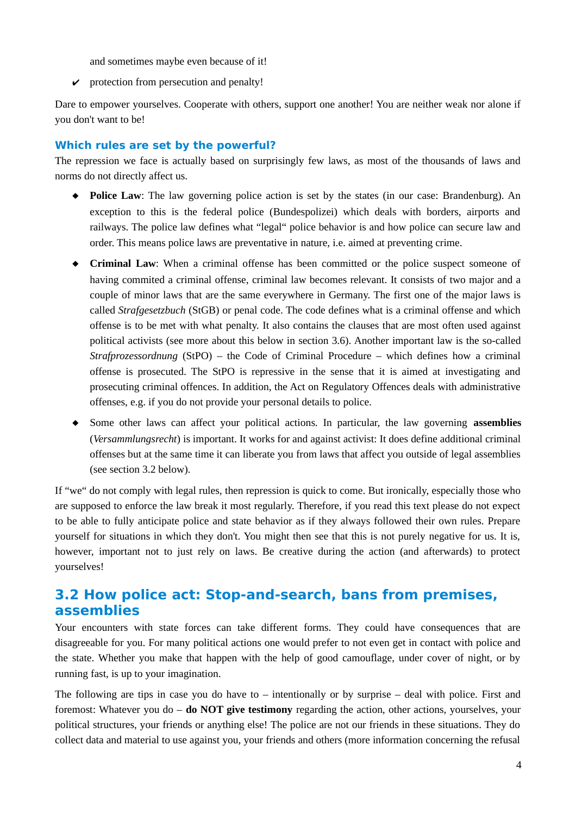and sometimes maybe even because of it!

 $\triangleright$  protection from persecution and penalty!

Dare to empower yourselves. Cooperate with others, support one another! You are neither weak nor alone if you don't want to be!

### **Which rules are set by the powerful?**

The repression we face is actually based on surprisingly few laws, as most of the thousands of laws and norms do not directly affect us.

- **Police Law**: The law governing police action is set by the states (in our case: Brandenburg). An exception to this is the federal police (Bundespolizei) which deals with borders, airports and railways. The police law defines what "legal" police behavior is and how police can secure law and order. This means police laws are preventative in nature, i.e. aimed at preventing crime.
- **Criminal Law**: When a criminal offense has been committed or the police suspect someone of having commited a criminal offense, criminal law becomes relevant. It consists of two major and a couple of minor laws that are the same everywhere in Germany. The first one of the major laws is called *Strafgesetzbuch* (StGB) or penal code. The code defines what is a criminal offense and which offense is to be met with what penalty. It also contains the clauses that are most often used against political activists (see more about this below in section 3.6). Another important law is the so-called *Strafprozessordnung* (StPO) – the Code of Criminal Procedure – which defines how a criminal offense is prosecuted. The StPO is repressive in the sense that it is aimed at investigating and prosecuting criminal offences. In addition, the Act on Regulatory Offences deals with administrative offenses, e.g. if you do not provide your personal details to police.
- Some other laws can affect your political actions. In particular, the law governing **assemblies** (*Versammlungsrecht*) is important. It works for and against activist: It does define additional criminal offenses but at the same time it can liberate you from laws that affect you outside of legal assemblies (see section 3.2 below).

If "we" do not comply with legal rules, then repression is quick to come. But ironically, especially those who are supposed to enforce the law break it most regularly. Therefore, if you read this text please do not expect to be able to fully anticipate police and state behavior as if they always followed their own rules. Prepare yourself for situations in which they don't. You might then see that this is not purely negative for us. It is, however, important not to just rely on laws. Be creative during the action (and afterwards) to protect yourselves!

# <span id="page-3-0"></span>**3.2 How police act: Stop-and-search, bans from premises, assemblies**

Your encounters with state forces can take different forms. They could have consequences that are disagreeable for you. For many political actions one would prefer to not even get in contact with police and the state. Whether you make that happen with the help of good camouflage, under cover of night, or by running fast, is up to your imagination.

The following are tips in case you do have to  $-$  intentionally or by surprise  $-$  deal with police. First and foremost: Whatever you do – **do NOT give testimony** regarding the action, other actions, yourselves, your political structures, your friends or anything else! The police are not our friends in these situations. They do collect data and material to use against you, your friends and others (more information concerning the refusal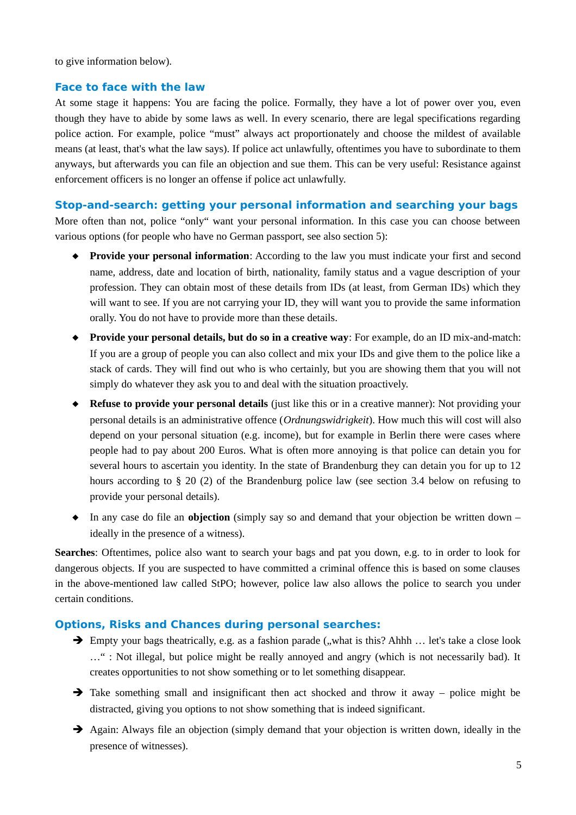to give information below).

#### **Face to face with the law**

At some stage it happens: You are facing the police. Formally, they have a lot of power over you, even though they have to abide by some laws as well. In every scenario, there are legal specifications regarding police action. For example, police "must" always act proportionately and choose the mildest of available means (at least, that's what the law says). If police act unlawfully, oftentimes you have to subordinate to them anyways, but afterwards you can file an objection and sue them. This can be very useful: Resistance against enforcement officers is no longer an offense if police act unlawfully.

#### **Stop-and-search: getting your personal information and searching your bags**

More often than not, police "only" want your personal information. In this case you can choose between various options (for people who have no German passport, see also section 5):

- **Provide your personal information**: According to the law you must indicate your first and second name, address, date and location of birth, nationality, family status and a vague description of your profession. They can obtain most of these details from IDs (at least, from German IDs) which they will want to see. If you are not carrying your ID, they will want you to provide the same information orally. You do not have to provide more than these details.
- **Provide your personal details, but do so in a creative way**: For example, do an ID mix-and-match: If you are a group of people you can also collect and mix your IDs and give them to the police like a stack of cards. They will find out who is who certainly, but you are showing them that you will not simply do whatever they ask you to and deal with the situation proactively.
- **Refuse to provide your personal details** (just like this or in a creative manner): Not providing your personal details is an administrative offence (*Ordnungswidrigkeit*). How much this will cost will also depend on your personal situation (e.g. income), but for example in Berlin there were cases where people had to pay about 200 Euros. What is often more annoying is that police can detain you for several hours to ascertain you identity. In the state of Brandenburg they can detain you for up to 12 hours according to § 20 (2) of the Brandenburg police law (see section 3.4 below on refusing to provide your personal details).
- ◆ In any case do file an **objection** (simply say so and demand that your objection be written down ideally in the presence of a witness).

**Searches**: Oftentimes, police also want to search your bags and pat you down, e.g. to in order to look for dangerous objects. If you are suspected to have committed a criminal offence this is based on some clauses in the above-mentioned law called StPO; however, police law also allows the police to search you under certain conditions.

#### **Options, Risks and Chances during personal searches:**

- $\rightarrow$  Empty your bags theatrically, e.g. as a fashion parade ("what is this? Ahhh ... let's take a close look …" : Not illegal, but police might be really annoyed and angry (which is not necessarily bad). It creates opportunities to not show something or to let something disappear.
- $\rightarrow$  Take something small and insignificant then act shocked and throw it away police might be distracted, giving you options to not show something that is indeed significant.
- → Again: Always file an objection (simply demand that your objection is written down, ideally in the presence of witnesses).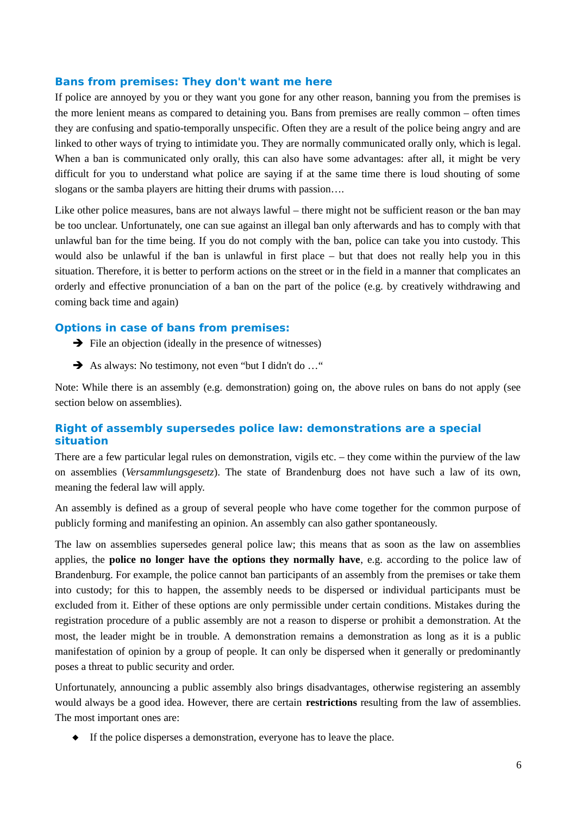#### **Bans from premises: They don't want me here**

If police are annoyed by you or they want you gone for any other reason, banning you from the premises is the more lenient means as compared to detaining you. Bans from premises are really common – often times they are confusing and spatio-temporally unspecific. Often they are a result of the police being angry and are linked to other ways of trying to intimidate you. They are normally communicated orally only, which is legal. When a ban is communicated only orally, this can also have some advantages: after all, it might be very difficult for you to understand what police are saying if at the same time there is loud shouting of some slogans or the samba players are hitting their drums with passion….

Like other police measures, bans are not always lawful – there might not be sufficient reason or the ban may be too unclear. Unfortunately, one can sue against an illegal ban only afterwards and has to comply with that unlawful ban for the time being. If you do not comply with the ban, police can take you into custody. This would also be unlawful if the ban is unlawful in first place – but that does not really help you in this situation. Therefore, it is better to perform actions on the street or in the field in a manner that complicates an orderly and effective pronunciation of a ban on the part of the police (e.g. by creatively withdrawing and coming back time and again)

#### **Options in case of bans from premises:**

- ➔ File an objection (ideally in the presence of witnesses)
- → As always: No testimony, not even "but I didn't do ..."

Note: While there is an assembly (e.g. demonstration) going on, the above rules on bans do not apply (see section below on assemblies).

# **Right of assembly supersedes police law: demonstrations are a special situation**

There are a few particular legal rules on demonstration, vigils etc. – they come within the purview of the law on assemblies (*Versammlungsgesetz*). The state of Brandenburg does not have such a law of its own, meaning the federal law will apply.

An assembly is defined as a group of several people who have come together for the common purpose of publicly forming and manifesting an opinion. An assembly can also gather spontaneously.

The law on assemblies supersedes general police law; this means that as soon as the law on assemblies applies, the **police no longer have the options they normally have**, e.g. according to the police law of Brandenburg. For example, the police cannot ban participants of an assembly from the premises or take them into custody; for this to happen, the assembly needs to be dispersed or individual participants must be excluded from it. Either of these options are only permissible under certain conditions. Mistakes during the registration procedure of a public assembly are not a reason to disperse or prohibit a demonstration. At the most, the leader might be in trouble. A demonstration remains a demonstration as long as it is a public manifestation of opinion by a group of people. It can only be dispersed when it generally or predominantly poses a threat to public security and order.

Unfortunately, announcing a public assembly also brings disadvantages, otherwise registering an assembly would always be a good idea. However, there are certain **restrictions** resulting from the law of assemblies. The most important ones are:

If the police disperses a demonstration, everyone has to leave the place.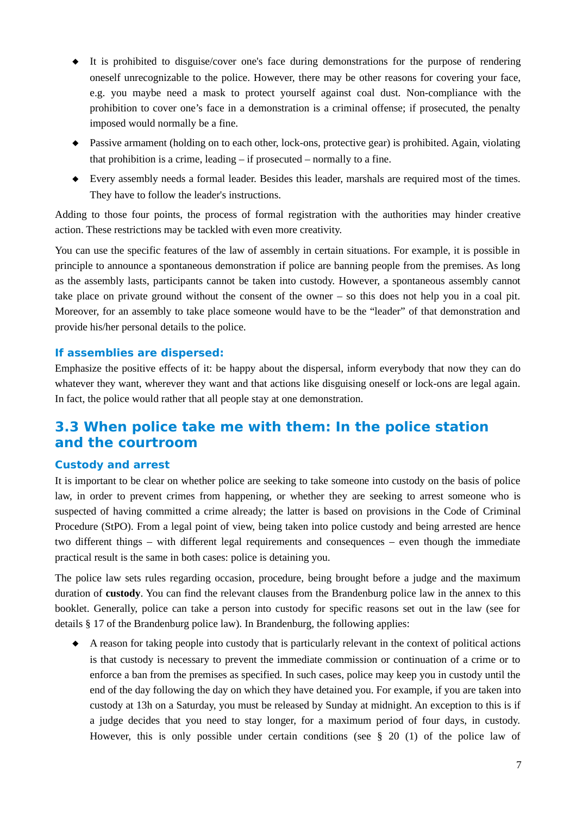- It is prohibited to disguise/cover one's face during demonstrations for the purpose of rendering oneself unrecognizable to the police. However, there may be other reasons for covering your face, e.g. you maybe need a mask to protect yourself against coal dust. Non-compliance with the prohibition to cover one's face in a demonstration is a criminal offense; if prosecuted, the penalty imposed would normally be a fine.
- Passive armament (holding on to each other, lock-ons, protective gear) is prohibited. Again, violating that prohibition is a crime, leading – if prosecuted – normally to a fine.
- Every assembly needs a formal leader. Besides this leader, marshals are required most of the times. They have to follow the leader's instructions.

Adding to those four points, the process of formal registration with the authorities may hinder creative action. These restrictions may be tackled with even more creativity.

You can use the specific features of the law of assembly in certain situations. For example, it is possible in principle to announce a spontaneous demonstration if police are banning people from the premises. As long as the assembly lasts, participants cannot be taken into custody. However, a spontaneous assembly cannot take place on private ground without the consent of the owner – so this does not help you in a coal pit. Moreover, for an assembly to take place someone would have to be the "leader" of that demonstration and provide his/her personal details to the police.

### **If assemblies are dispersed:**

Emphasize the positive effects of it: be happy about the dispersal, inform everybody that now they can do whatever they want, wherever they want and that actions like disguising oneself or lock-ons are legal again. In fact, the police would rather that all people stay at one demonstration.

# <span id="page-6-0"></span>**3.3 When police take me with them: In the police station and the courtroom**

#### **Custody and arrest**

It is important to be clear on whether police are seeking to take someone into custody on the basis of police law, in order to prevent crimes from happening, or whether they are seeking to arrest someone who is suspected of having committed a crime already; the latter is based on provisions in the Code of Criminal Procedure (StPO). From a legal point of view, being taken into police custody and being arrested are hence two different things – with different legal requirements and consequences – even though the immediate practical result is the same in both cases: police is detaining you.

The police law sets rules regarding occasion, procedure, being brought before a judge and the maximum duration of **custody**. You can find the relevant clauses from the Brandenburg police law in the annex to this booklet. Generally, police can take a person into custody for specific reasons set out in the law (see for details § 17 of the Brandenburg police law). In Brandenburg, the following applies:

 A reason for taking people into custody that is particularly relevant in the context of political actions is that custody is necessary to prevent the immediate commission or continuation of a crime or to enforce a ban from the premises as specified. In such cases, police may keep you in custody until the end of the day following the day on which they have detained you. For example, if you are taken into custody at 13h on a Saturday, you must be released by Sunday at midnight. An exception to this is if a judge decides that you need to stay longer, for a maximum period of four days, in custody. However, this is only possible under certain conditions (see  $\S$  20 (1) of the police law of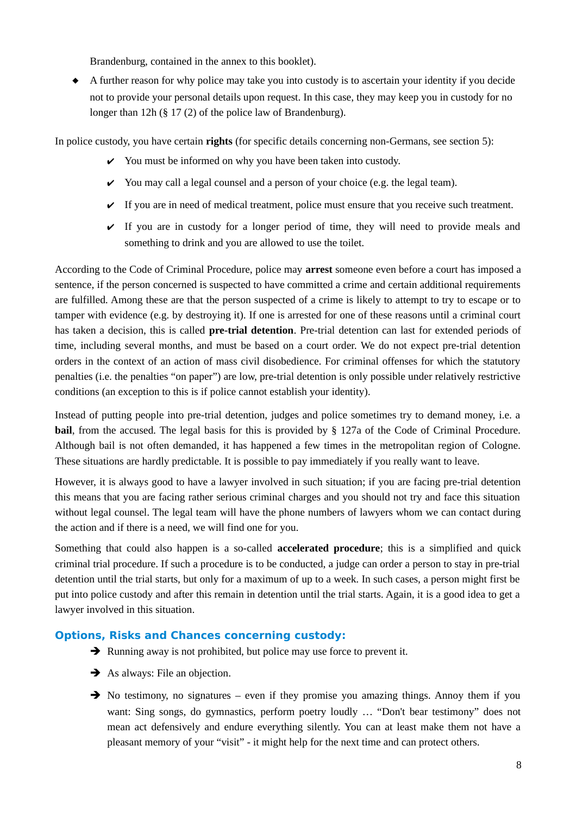Brandenburg, contained in the annex to this booklet).

 A further reason for why police may take you into custody is to ascertain your identity if you decide not to provide your personal details upon request. In this case, they may keep you in custody for no longer than 12h (§ 17 (2) of the police law of Brandenburg).

In police custody, you have certain **rights** (for specific details concerning non-Germans, see section 5):

- $\checkmark$  You must be informed on why you have been taken into custody.
- $\checkmark$  You may call a legal counsel and a person of your choice (e.g. the legal team).
- $\checkmark$  If you are in need of medical treatment, police must ensure that you receive such treatment.
- $\checkmark$  If you are in custody for a longer period of time, they will need to provide meals and something to drink and you are allowed to use the toilet.

According to the Code of Criminal Procedure, police may **arrest** someone even before a court has imposed a sentence, if the person concerned is suspected to have committed a crime and certain additional requirements are fulfilled. Among these are that the person suspected of a crime is likely to attempt to try to escape or to tamper with evidence (e.g. by destroying it). If one is arrested for one of these reasons until a criminal court has taken a decision, this is called **pre-trial detention**. Pre-trial detention can last for extended periods of time, including several months, and must be based on a court order. We do not expect pre-trial detention orders in the context of an action of mass civil disobedience. For criminal offenses for which the statutory penalties (i.e. the penalties "on paper") are low, pre-trial detention is only possible under relatively restrictive conditions (an exception to this is if police cannot establish your identity).

Instead of putting people into pre-trial detention, judges and police sometimes try to demand money, i.e. a **bail**, from the accused. The legal basis for this is provided by § 127a of the Code of Criminal Procedure. Although bail is not often demanded, it has happened a few times in the metropolitan region of Cologne. These situations are hardly predictable. It is possible to pay immediately if you really want to leave.

However, it is always good to have a lawyer involved in such situation; if you are facing pre-trial detention this means that you are facing rather serious criminal charges and you should not try and face this situation without legal counsel. The legal team will have the phone numbers of lawyers whom we can contact during the action and if there is a need, we will find one for you.

Something that could also happen is a so-called **accelerated procedure**; this is a simplified and quick criminal trial procedure. If such a procedure is to be conducted, a judge can order a person to stay in pre-trial detention until the trial starts, but only for a maximum of up to a week. In such cases, a person might first be put into police custody and after this remain in detention until the trial starts. Again, it is a good idea to get a lawyer involved in this situation.

# **Options, Risks and Chances concerning custody:**

- ➔ Running away is not prohibited, but police may use force to prevent it.
- $\rightarrow$  As always: File an objection.
- $\rightarrow$  No testimony, no signatures even if they promise you amazing things. Annoy them if you want: Sing songs, do gymnastics, perform poetry loudly … "Don't bear testimony" does not mean act defensively and endure everything silently. You can at least make them not have a pleasant memory of your "visit" - it might help for the next time and can protect others.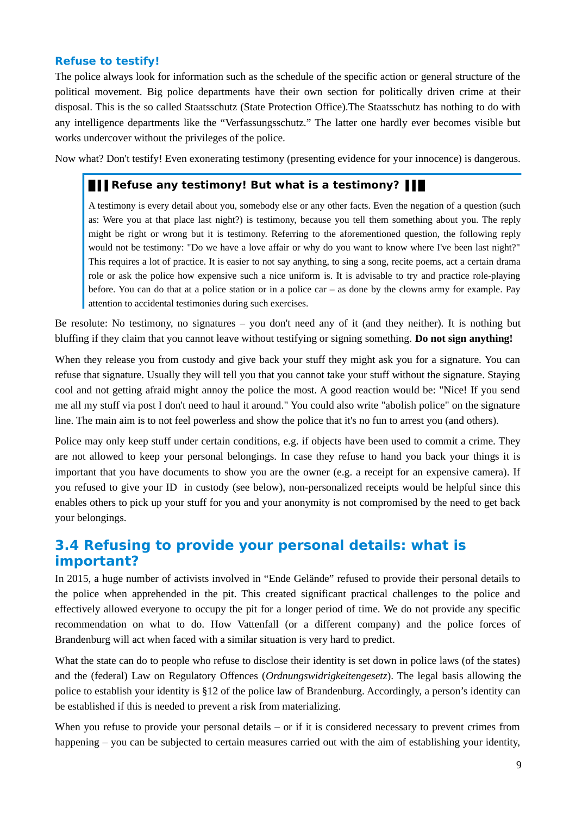# **Refuse to testify!**

The police always look for information such as the schedule of the specific action or general structure of the political movement. Big police departments have their own section for politically driven crime at their disposal. This is the so called Staatsschutz (State Protection Office).The Staatsschutz has nothing to do with any intelligence departments like the "Verfassungsschutz." The latter one hardly ever becomes visible but works undercover without the privileges of the police.

Now what? Don't testify! Even exonerating testimony (presenting evidence for your innocence) is dangerous.

# **EN** Refuse any testimony! But what is a testimony?  $\blacksquare$

A testimony is every detail about you, somebody else or any other facts. Even the negation of a question (such as: Were you at that place last night?) is testimony, because you tell them something about you. The reply might be right or wrong but it is testimony. Referring to the aforementioned question, the following reply would not be testimony: "Do we have a love affair or why do you want to know where I've been last night?" This requires a lot of practice. It is easier to not say anything, to sing a song, recite poems, act a certain drama role or ask the police how expensive such a nice uniform is. It is advisable to try and practice role-playing before. You can do that at a police station or in a police car – as done by the clowns army for example. Pay attention to accidental testimonies during such exercises.

Be resolute: No testimony, no signatures – you don't need any of it (and they neither). It is nothing but bluffing if they claim that you cannot leave without testifying or signing something. **Do not sign anything!**

When they release you from custody and give back your stuff they might ask you for a signature. You can refuse that signature. Usually they will tell you that you cannot take your stuff without the signature. Staying cool and not getting afraid might annoy the police the most. A good reaction would be: "Nice! If you send me all my stuff via post I don't need to haul it around." You could also write "abolish police" on the signature line. The main aim is to not feel powerless and show the police that it's no fun to arrest you (and others).

Police may only keep stuff under certain conditions, e.g. if objects have been used to commit a crime. They are not allowed to keep your personal belongings. In case they refuse to hand you back your things it is important that you have documents to show you are the owner (e.g. a receipt for an expensive camera). If you refused to give your ID in custody (see below), non-personalized receipts would be helpful since this enables others to pick up your stuff for you and your anonymity is not compromised by the need to get back your belongings.

# <span id="page-8-0"></span>**3.4 Refusing to provide your personal details: what is important?**

In 2015, a huge number of activists involved in "Ende Gelände" refused to provide their personal details to the police when apprehended in the pit. This created significant practical challenges to the police and effectively allowed everyone to occupy the pit for a longer period of time. We do not provide any specific recommendation on what to do. How Vattenfall (or a different company) and the police forces of Brandenburg will act when faced with a similar situation is very hard to predict.

What the state can do to people who refuse to disclose their identity is set down in police laws (of the states) and the (federal) Law on Regulatory Offences (*Ordnungswidrigkeitengesetz*). The legal basis allowing the police to establish your identity is §12 of the police law of Brandenburg. Accordingly, a person's identity can be established if this is needed to prevent a risk from materializing.

When you refuse to provide your personal details – or if it is considered necessary to prevent crimes from happening – you can be subjected to certain measures carried out with the aim of establishing your identity,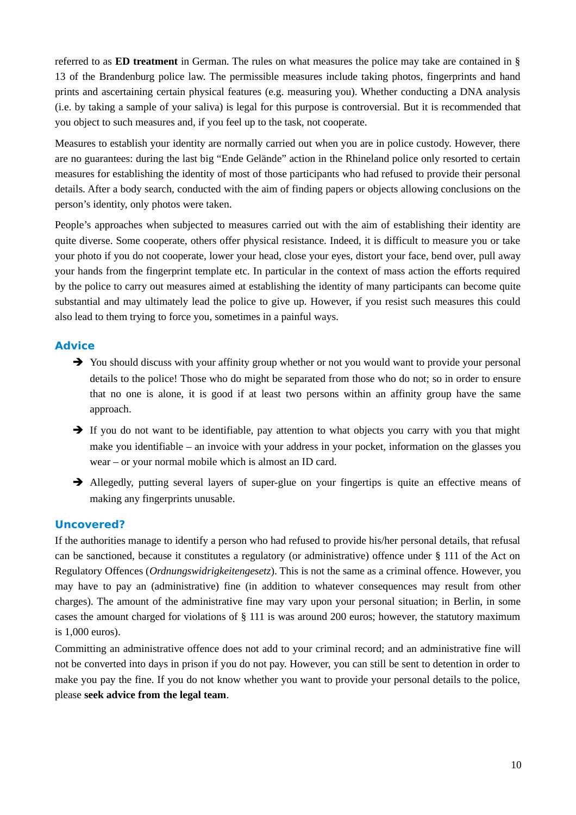referred to as **ED treatment** in German. The rules on what measures the police may take are contained in § 13 of the Brandenburg police law. The permissible measures include taking photos, fingerprints and hand prints and ascertaining certain physical features (e.g. measuring you). Whether conducting a DNA analysis (i.e. by taking a sample of your saliva) is legal for this purpose is controversial. But it is recommended that you object to such measures and, if you feel up to the task, not cooperate.

Measures to establish your identity are normally carried out when you are in police custody. However, there are no guarantees: during the last big "Ende Gelände" action in the Rhineland police only resorted to certain measures for establishing the identity of most of those participants who had refused to provide their personal details. After a body search, conducted with the aim of finding papers or objects allowing conclusions on the person's identity, only photos were taken.

People's approaches when subjected to measures carried out with the aim of establishing their identity are quite diverse. Some cooperate, others offer physical resistance. Indeed, it is difficult to measure you or take your photo if you do not cooperate, lower your head, close your eyes, distort your face, bend over, pull away your hands from the fingerprint template etc. In particular in the context of mass action the efforts required by the police to carry out measures aimed at establishing the identity of many participants can become quite substantial and may ultimately lead the police to give up. However, if you resist such measures this could also lead to them trying to force you, sometimes in a painful ways.

# **Advice**

- ➔ You should discuss with your affinity group whether or not you would want to provide your personal details to the police! Those who do might be separated from those who do not; so in order to ensure that no one is alone, it is good if at least two persons within an affinity group have the same approach.
- → If you do not want to be identifiable, pay attention to what objects you carry with you that might make you identifiable – an invoice with your address in your pocket, information on the glasses you wear – or your normal mobile which is almost an ID card.
- → Allegedly, putting several layers of super-glue on your fingertips is quite an effective means of making any fingerprints unusable.

# **Uncovered?**

If the authorities manage to identify a person who had refused to provide his/her personal details, that refusal can be sanctioned, because it constitutes a regulatory (or administrative) offence under § 111 of the Act on Regulatory Offences (*Ordnungswidrigkeitengesetz*). This is not the same as a criminal offence. However, you may have to pay an (administrative) fine (in addition to whatever consequences may result from other charges). The amount of the administrative fine may vary upon your personal situation; in Berlin, in some cases the amount charged for violations of § 111 is was around 200 euros; however, the statutory maximum is 1,000 euros).

Committing an administrative offence does not add to your criminal record; and an administrative fine will not be converted into days in prison if you do not pay. However, you can still be sent to detention in order to make you pay the fine. If you do not know whether you want to provide your personal details to the police, please **seek advice from the legal team**.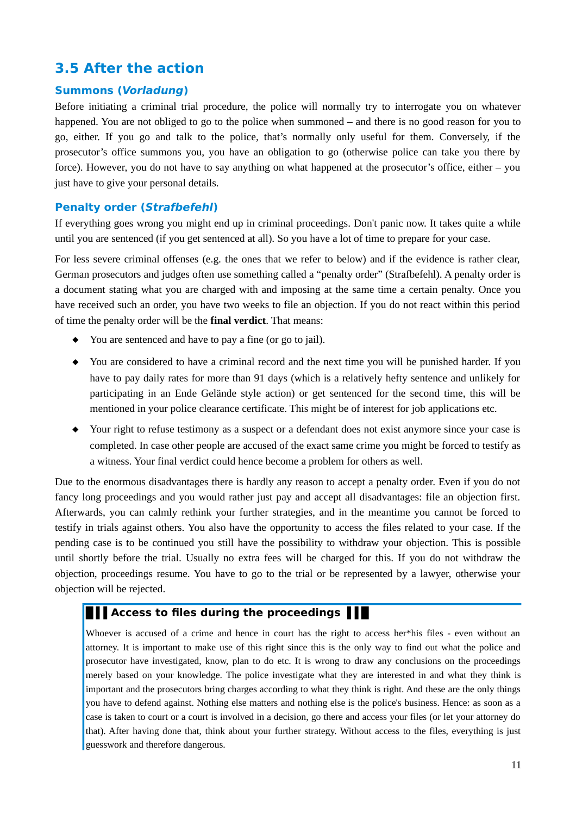# <span id="page-10-0"></span>**3.5 After the action**

# **Summons (Vorladung)**

Before initiating a criminal trial procedure, the police will normally try to interrogate you on whatever happened. You are not obliged to go to the police when summoned – and there is no good reason for you to go, either. If you go and talk to the police, that's normally only useful for them. Conversely, if the prosecutor's office summons you, you have an obligation to go (otherwise police can take you there by force). However, you do not have to say anything on what happened at the prosecutor's office, either – you just have to give your personal details.

#### **Penalty order (Strafbefehl)**

If everything goes wrong you might end up in criminal proceedings. Don't panic now. It takes quite a while until you are sentenced (if you get sentenced at all). So you have a lot of time to prepare for your case.

For less severe criminal offenses (e.g. the ones that we refer to below) and if the evidence is rather clear, German prosecutors and judges often use something called a "penalty order" (Strafbefehl). A penalty order is a document stating what you are charged with and imposing at the same time a certain penalty. Once you have received such an order, you have two weeks to file an objection. If you do not react within this period of time the penalty order will be the **final verdict**. That means:

- You are sentenced and have to pay a fine (or go to jail).
- You are considered to have a criminal record and the next time you will be punished harder. If you have to pay daily rates for more than 91 days (which is a relatively hefty sentence and unlikely for participating in an Ende Gelände style action) or get sentenced for the second time, this will be mentioned in your police clearance certificate. This might be of interest for job applications etc.
- Your right to refuse testimony as a suspect or a defendant does not exist anymore since your case is completed. In case other people are accused of the exact same crime you might be forced to testify as a witness. Your final verdict could hence become a problem for others as well.

Due to the enormous disadvantages there is hardly any reason to accept a penalty order. Even if you do not fancy long proceedings and you would rather just pay and accept all disadvantages: file an objection first. Afterwards, you can calmly rethink your further strategies, and in the meantime you cannot be forced to testify in trials against others. You also have the opportunity to access the files related to your case. If the pending case is to be continued you still have the possibility to withdraw your objection. This is possible until shortly before the trial. Usually no extra fees will be charged for this. If you do not withdraw the objection, proceedings resume. You have to go to the trial or be represented by a lawyer, otherwise your objection will be rejected.

# **█ ▌▌Access to files during the proceedings ▐▐ █**

Whoever is accused of a crime and hence in court has the right to access her\*his files - even without an attorney. It is important to make use of this right since this is the only way to find out what the police and prosecutor have investigated, know, plan to do etc. It is wrong to draw any conclusions on the proceedings merely based on your knowledge. The police investigate what they are interested in and what they think is important and the prosecutors bring charges according to what they think is right. And these are the only things you have to defend against. Nothing else matters and nothing else is the police's business. Hence: as soon as a case is taken to court or a court is involved in a decision, go there and access your files (or let your attorney do that). After having done that, think about your further strategy. Without access to the files, everything is just guesswork and therefore dangerous.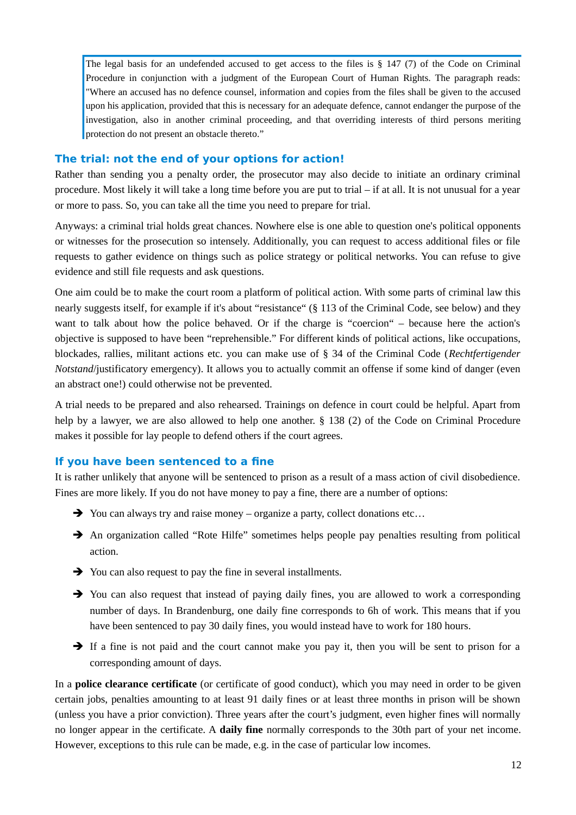The legal basis for an undefended accused to get access to the files is  $\S$  147 (7) of the Code on Criminal Procedure in conjunction with a judgment of the European Court of Human Rights. The paragraph reads: "Where an accused has no defence counsel, information and copies from the files shall be given to the accused upon his application, provided that this is necessary for an adequate defence, cannot endanger the purpose of the investigation, also in another criminal proceeding, and that overriding interests of third persons meriting protection do not present an obstacle thereto."

#### **The trial: not the end of your options for action!**

Rather than sending you a penalty order, the prosecutor may also decide to initiate an ordinary criminal procedure. Most likely it will take a long time before you are put to trial – if at all. It is not unusual for a year or more to pass. So, you can take all the time you need to prepare for trial.

Anyways: a criminal trial holds great chances. Nowhere else is one able to question one's political opponents or witnesses for the prosecution so intensely. Additionally, you can request to access additional files or file requests to gather evidence on things such as police strategy or political networks. You can refuse to give evidence and still file requests and ask questions.

One aim could be to make the court room a platform of political action. With some parts of criminal law this nearly suggests itself, for example if it's about "resistance" (§ 113 of the Criminal Code, see below) and they want to talk about how the police behaved. Or if the charge is "coercion" – because here the action's objective is supposed to have been "reprehensible." For different kinds of political actions, like occupations, blockades, rallies, militant actions etc. you can make use of § 34 of the Criminal Code (*Rechtfertigender Notstand*/justificatory emergency). It allows you to actually commit an offense if some kind of danger (even an abstract one!) could otherwise not be prevented.

A trial needs to be prepared and also rehearsed. Trainings on defence in court could be helpful. Apart from help by a lawyer, we are also allowed to help one another. § 138 (2) of the Code on Criminal Procedure makes it possible for lay people to defend others if the court agrees.

#### **If you have been sentenced to a fine**

It is rather unlikely that anyone will be sentenced to prison as a result of a mass action of civil disobedience. Fines are more likely. If you do not have money to pay a fine, there are a number of options:

- ➔ You can always try and raise money organize a party, collect donations etc…
- → An organization called "Rote Hilfe" sometimes helps people pay penalties resulting from political action.
- ➔ You can also request to pay the fine in several installments.
- ➔ You can also request that instead of paying daily fines, you are allowed to work a corresponding number of days. In Brandenburg, one daily fine corresponds to 6h of work. This means that if you have been sentenced to pay 30 daily fines, you would instead have to work for 180 hours.
- → If a fine is not paid and the court cannot make you pay it, then you will be sent to prison for a corresponding amount of days.

In a **police clearance certificate** (or certificate of good conduct), which you may need in order to be given certain jobs, penalties amounting to at least 91 daily fines or at least three months in prison will be shown (unless you have a prior conviction). Three years after the court's judgment, even higher fines will normally no longer appear in the certificate. A **daily fine** normally corresponds to the 30th part of your net income. However, exceptions to this rule can be made, e.g. in the case of particular low incomes.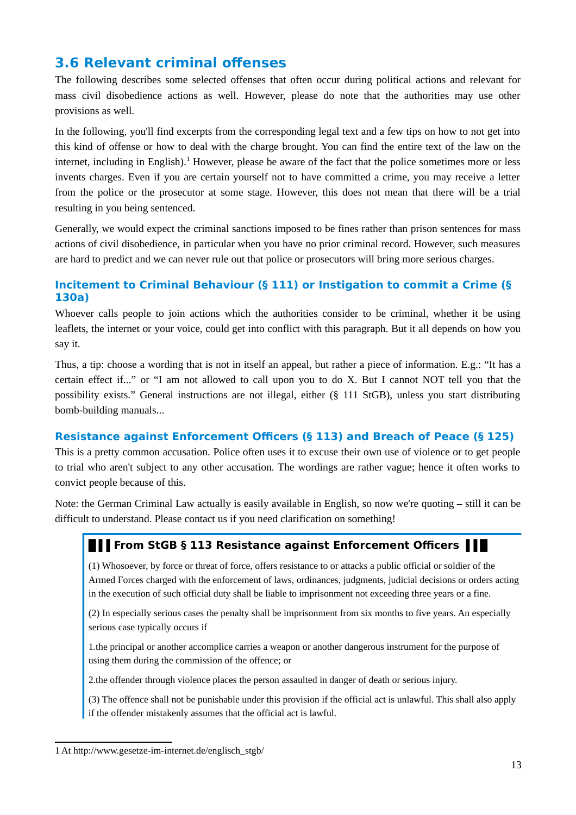# <span id="page-12-0"></span>**3.6 Relevant criminal offenses**

The following describes some selected offenses that often occur during political actions and relevant for mass civil disobedience actions as well. However, please do note that the authorities may use other provisions as well.

In the following, you'll find excerpts from the corresponding legal text and a few tips on how to not get into this kind of offense or how to deal with the charge brought. You can find the entire text of the law on the internet, including in English).<sup>[1](#page-12-1)</sup> However, please be aware of the fact that the police sometimes more or less invents charges. Even if you are certain yourself not to have committed a crime, you may receive a letter from the police or the prosecutor at some stage. However, this does not mean that there will be a trial resulting in you being sentenced.

Generally, we would expect the criminal sanctions imposed to be fines rather than prison sentences for mass actions of civil disobedience, in particular when you have no prior criminal record. However, such measures are hard to predict and we can never rule out that police or prosecutors will bring more serious charges.

# **Incitement to Criminal Behaviour (§ 111) or Instigation to commit a Crime (§ 130a)**

Whoever calls people to join actions which the authorities consider to be criminal, whether it be using leaflets, the internet or your voice, could get into conflict with this paragraph. But it all depends on how you say it.

Thus, a tip: choose a wording that is not in itself an appeal, but rather a piece of information. E.g.: "It has a certain effect if..." or "I am not allowed to call upon you to do X. But I cannot NOT tell you that the possibility exists." General instructions are not illegal, either (§ 111 StGB), unless you start distributing bomb-building manuals...

# **Resistance against Enforcement Officers (§ 113) and Breach of Peace (§ 125)**

This is a pretty common accusation. Police often uses it to excuse their own use of violence or to get people to trial who aren't subject to any other accusation. The wordings are rather vague; hence it often works to convict people because of this.

Note: the German Criminal Law actually is easily available in English, so now we're quoting – still it can be difficult to understand. Please contact us if you need clarification on something!

# **█ ▌▌From StGB § 113 Resistance against Enforcement Officers ▐▐ █**

(1) Whosoever, by force or threat of force, offers resistance to or attacks a public official or soldier of the Armed Forces charged with the enforcement of laws, ordinances, judgments, judicial decisions or orders acting in the execution of such official duty shall be liable to imprisonment not exceeding three years or a fine.

(2) In especially serious cases the penalty shall be imprisonment from six months to five years. An especially serious case typically occurs if

1.the principal or another accomplice carries a weapon or another dangerous instrument for the purpose of using them during the commission of the offence; or

2.the offender through violence places the person assaulted in danger of death or serious injury.

(3) The offence shall not be punishable under this provision if the official act is unlawful. This shall also apply if the offender mistakenly assumes that the official act is lawful.

<span id="page-12-1"></span><sup>1</sup> At http://www.gesetze-im-internet.de/englisch\_stgb/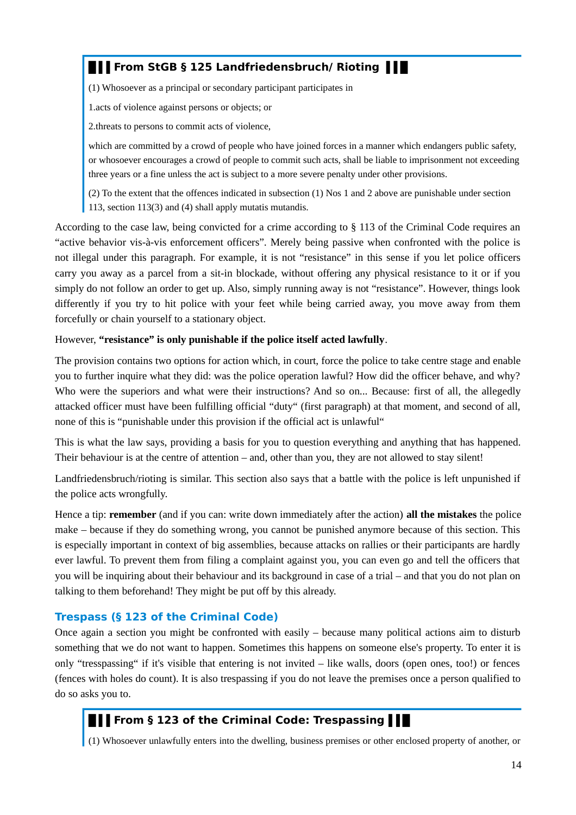# **█ ▌▌From StGB § 125 Landfriedensbruch/ Rioting ▐▐ █**

(1) Whosoever as a principal or secondary participant participates in

1.acts of violence against persons or objects; or

2.threats to persons to commit acts of violence,

which are committed by a crowd of people who have joined forces in a manner which endangers public safety, or whosoever encourages a crowd of people to commit such acts, shall be liable to imprisonment not exceeding three years or a fine unless the act is subject to a more severe penalty under other provisions.

(2) To the extent that the offences indicated in subsection (1) Nos 1 and 2 above are punishable under section 113, section 113(3) and (4) shall apply mutatis mutandis.

According to the case law, being convicted for a crime according to § 113 of the Criminal Code requires an "active behavior vis-à-vis enforcement officers". Merely being passive when confronted with the police is not illegal under this paragraph. For example, it is not "resistance" in this sense if you let police officers carry you away as a parcel from a sit-in blockade, without offering any physical resistance to it or if you simply do not follow an order to get up. Also, simply running away is not "resistance". However, things look differently if you try to hit police with your feet while being carried away, you move away from them forcefully or chain yourself to a stationary object.

#### However, **"resistance" is only punishable if the police itself acted lawfully**.

The provision contains two options for action which, in court, force the police to take centre stage and enable you to further inquire what they did: was the police operation lawful? How did the officer behave, and why? Who were the superiors and what were their instructions? And so on... Because: first of all, the allegedly attacked officer must have been fulfilling official "duty" (first paragraph) at that moment, and second of all, none of this is "punishable under this provision if the official act is unlawful"

This is what the law says, providing a basis for you to question everything and anything that has happened. Their behaviour is at the centre of attention – and, other than you, they are not allowed to stay silent!

Landfriedensbruch/rioting is similar. This section also says that a battle with the police is left unpunished if the police acts wrongfully.

Hence a tip: **remember** (and if you can: write down immediately after the action) **all the mistakes** the police make – because if they do something wrong, you cannot be punished anymore because of this section. This is especially important in context of big assemblies, because attacks on rallies or their participants are hardly ever lawful. To prevent them from filing a complaint against you, you can even go and tell the officers that you will be inquiring about their behaviour and its background in case of a trial – and that you do not plan on talking to them beforehand! They might be put off by this already.

#### **Trespass (§ 123 of the Criminal Code)**

Once again a section you might be confronted with easily – because many political actions aim to disturb something that we do not want to happen. Sometimes this happens on someone else's property. To enter it is only "tresspassing" if it's visible that entering is not invited – like walls, doors (open ones, too!) or fences (fences with holes do count). It is also trespassing if you do not leave the premises once a person qualified to do so asks you to.

# **█ ▌▌From § 123 of the Criminal Code: Trespassing▐▐ █**

(1) Whosoever unlawfully enters into the dwelling, business premises or other enclosed property of another, or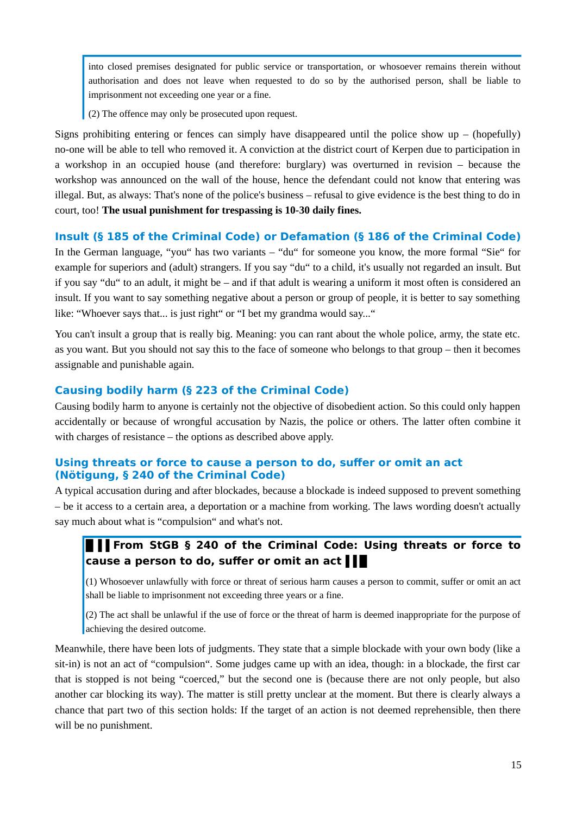into closed premises designated for public service or transportation, or whosoever remains therein without authorisation and does not leave when requested to do so by the authorised person, shall be liable to imprisonment not exceeding one year or a fine.

(2) The offence may only be prosecuted upon request.

Signs prohibiting entering or fences can simply have disappeared until the police show up – (hopefully) no-one will be able to tell who removed it. A conviction at the district court of Kerpen due to participation in a workshop in an occupied house (and therefore: burglary) was overturned in revision – because the workshop was announced on the wall of the house, hence the defendant could not know that entering was illegal. But, as always: That's none of the police's business – refusal to give evidence is the best thing to do in court, too! **The usual punishment for trespassing is 10-30 daily fines.**

### **Insult (§ 185 of the Criminal Code) or Defamation (§ 186 of the Criminal Code)**

In the German language, "you" has two variants – "du" for someone you know, the more formal "Sie" for example for superiors and (adult) strangers. If you say "du" to a child, it's usually not regarded an insult. But if you say "du" to an adult, it might be – and if that adult is wearing a uniform it most often is considered an insult. If you want to say something negative about a person or group of people, it is better to say something like: "Whoever says that... is just right" or "I bet my grandma would say..."

You can't insult a group that is really big. Meaning: you can rant about the whole police, army, the state etc. as you want. But you should not say this to the face of someone who belongs to that group – then it becomes assignable and punishable again.

#### **Causing bodily harm (§ 223 of the Criminal Code)**

Causing bodily harm to anyone is certainly not the objective of disobedient action. So this could only happen accidentally or because of wrongful accusation by Nazis, the police or others. The latter often combine it with charges of resistance – the options as described above apply.

### **Using threats or force to cause a person to do, suffer or omit an act (Nötigung, § 240 of the Criminal Code)**

A typical accusation during and after blockades, because a blockade is indeed supposed to prevent something – be it access to a certain area, a deportation or a machine from working. The laws wording doesn't actually say much about what is "compulsion" and what's not.

# **█ ▌▌From StGB § 240 of the Criminal Code: Using threats or force to cause a person to do, suffer or omit an act▐▐ █**

(1) Whosoever unlawfully with force or threat of serious harm causes a person to commit, suffer or omit an act shall be liable to imprisonment not exceeding three years or a fine.

(2) The act shall be unlawful if the use of force or the threat of harm is deemed inappropriate for the purpose of achieving the desired outcome.

Meanwhile, there have been lots of judgments. They state that a simple blockade with your own body (like a sit-in) is not an act of "compulsion". Some judges came up with an idea, though: in a blockade, the first car that is stopped is not being "coerced," but the second one is (because there are not only people, but also another car blocking its way). The matter is still pretty unclear at the moment. But there is clearly always a chance that part two of this section holds: If the target of an action is not deemed reprehensible, then there will be no punishment.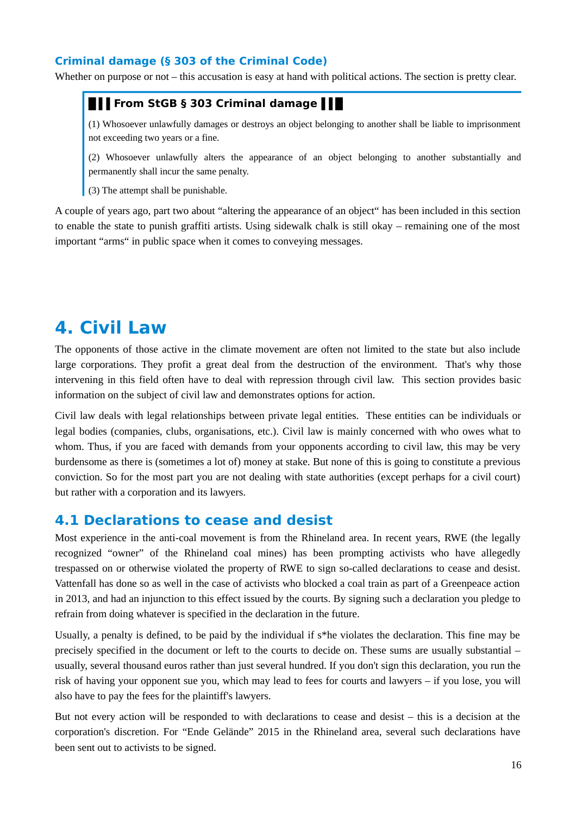# **Criminal damage (§ 303 of the Criminal Code)**

Whether on purpose or not – this accusation is easy at hand with political actions. The section is pretty clear.

# **█ ▌▌From StGB § 303 Criminal damage▐▐ █**

(1) Whosoever unlawfully damages or destroys an object belonging to another shall be liable to imprisonment not exceeding two years or a fine.

(2) Whosoever unlawfully alters the appearance of an object belonging to another substantially and permanently shall incur the same penalty.

(3) The attempt shall be punishable.

A couple of years ago, part two about "altering the appearance of an object" has been included in this section to enable the state to punish graffiti artists. Using sidewalk chalk is still okay – remaining one of the most important "arms" in public space when it comes to conveying messages.

# <span id="page-15-1"></span>**4. Civil Law**

The opponents of those active in the climate movement are often not limited to the state but also include large corporations. They profit a great deal from the destruction of the environment. That's why those intervening in this field often have to deal with repression through civil law. This section provides basic information on the subject of civil law and demonstrates options for action.

Civil law deals with legal relationships between private legal entities. These entities can be individuals or legal bodies (companies, clubs, organisations, etc.). Civil law is mainly concerned with who owes what to whom. Thus, if you are faced with demands from your opponents according to civil law, this may be very burdensome as there is (sometimes a lot of) money at stake. But none of this is going to constitute a previous conviction. So for the most part you are not dealing with state authorities (except perhaps for a civil court) but rather with a corporation and its lawyers.

# <span id="page-15-0"></span>**4.1 Declarations to cease and desist**

Most experience in the anti-coal movement is from the Rhineland area. In recent years, RWE (the legally recognized "owner" of the Rhineland coal mines) has been prompting activists who have allegedly trespassed on or otherwise violated the property of RWE to sign so-called declarations to cease and desist. Vattenfall has done so as well in the case of activists who blocked a coal train as part of a Greenpeace action in 2013, and had an injunction to this effect issued by the courts. By signing such a declaration you pledge to refrain from doing whatever is specified in the declaration in the future.

Usually, a penalty is defined, to be paid by the individual if s\*he violates the declaration. This fine may be precisely specified in the document or left to the courts to decide on. These sums are usually substantial – usually, several thousand euros rather than just several hundred. If you don't sign this declaration, you run the risk of having your opponent sue you, which may lead to fees for courts and lawyers – if you lose, you will also have to pay the fees for the plaintiff's lawyers.

But not every action will be responded to with declarations to cease and desist – this is a decision at the corporation's discretion. For "Ende Gelände" 2015 in the Rhineland area, several such declarations have been sent out to activists to be signed.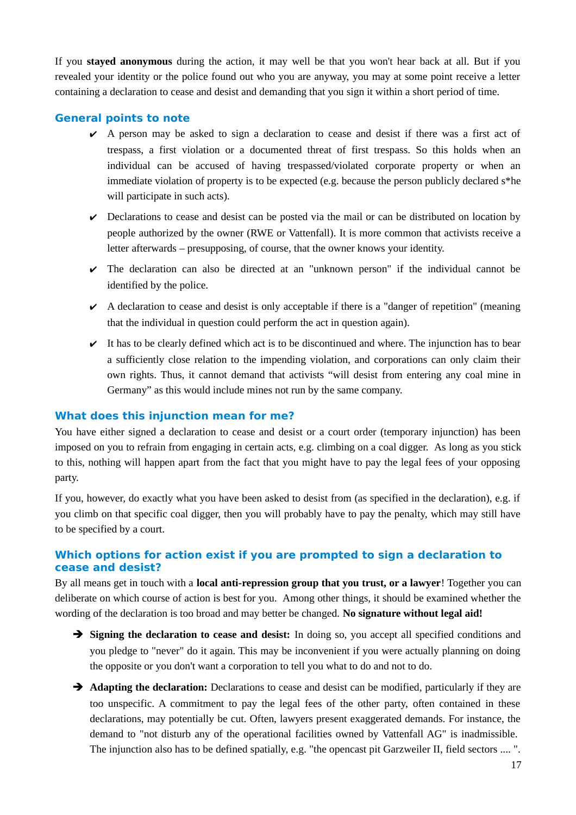If you **stayed anonymous** during the action, it may well be that you won't hear back at all. But if you revealed your identity or the police found out who you are anyway, you may at some point receive a letter containing a declaration to cease and desist and demanding that you sign it within a short period of time.

#### **General points to note**

- $\triangleright$  A person may be asked to sign a declaration to cease and desist if there was a first act of trespass, a first violation or a documented threat of first trespass. So this holds when an individual can be accused of having trespassed/violated corporate property or when an immediate violation of property is to be expected (e.g. because the person publicly declared s\*he will participate in such acts).
- $\triangleright$  Declarations to cease and desist can be posted via the mail or can be distributed on location by people authorized by the owner (RWE or Vattenfall). It is more common that activists receive a letter afterwards – presupposing, of course, that the owner knows your identity.
- $\checkmark$  The declaration can also be directed at an "unknown person" if the individual cannot be identified by the police.
- $\triangleright$  A declaration to cease and desist is only acceptable if there is a "danger of repetition" (meaning that the individual in question could perform the act in question again).
- $\checkmark$  It has to be clearly defined which act is to be discontinued and where. The injunction has to bear a sufficiently close relation to the impending violation, and corporations can only claim their own rights. Thus, it cannot demand that activists "will desist from entering any coal mine in Germany" as this would include mines not run by the same company.

# **What does this injunction mean for me?**

You have either signed a declaration to cease and desist or a court order (temporary injunction) has been imposed on you to refrain from engaging in certain acts, e.g. climbing on a coal digger. As long as you stick to this, nothing will happen apart from the fact that you might have to pay the legal fees of your opposing party.

If you, however, do exactly what you have been asked to desist from (as specified in the declaration), e.g. if you climb on that specific coal digger, then you will probably have to pay the penalty, which may still have to be specified by a court.

# **Which options for action exist if you are prompted to sign a declaration to cease and desist?**

By all means get in touch with a **local anti-repression group that you trust, or a lawyer**! Together you can deliberate on which course of action is best for you. Among other things, it should be examined whether the wording of the declaration is too broad and may better be changed. **No signature without legal aid!**

- → **Signing the declaration to cease and desist:** In doing so, you accept all specified conditions and you pledge to "never" do it again. This may be inconvenient if you were actually planning on doing the opposite or you don't want a corporation to tell you what to do and not to do.
- **→ Adapting the declaration:** Declarations to cease and desist can be modified, particularly if they are too unspecific. A commitment to pay the legal fees of the other party, often contained in these declarations, may potentially be cut. Often, lawyers present exaggerated demands. For instance, the demand to "not disturb any of the operational facilities owned by Vattenfall AG" is inadmissible. The injunction also has to be defined spatially, e.g. "the opencast pit Garzweiler II, field sectors .... ".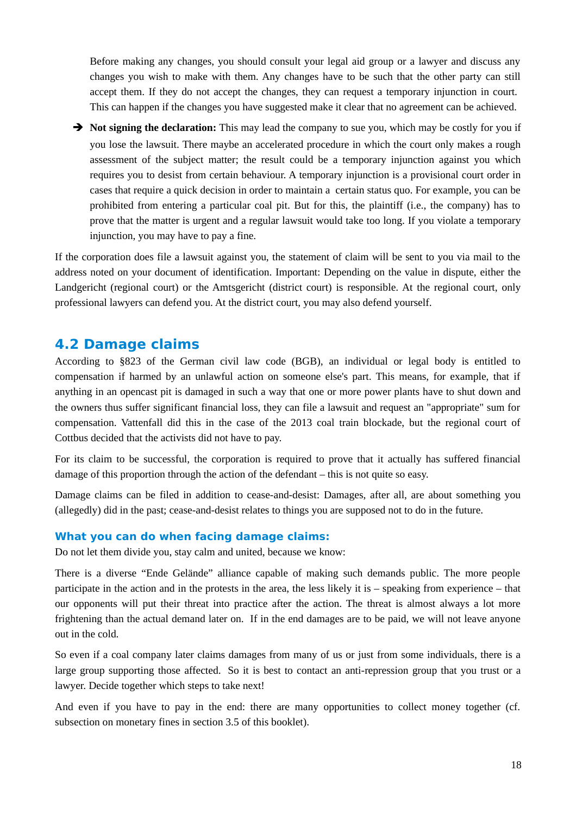Before making any changes, you should consult your legal aid group or a lawyer and discuss any changes you wish to make with them. Any changes have to be such that the other party can still accept them. If they do not accept the changes, they can request a temporary injunction in court. This can happen if the changes you have suggested make it clear that no agreement can be achieved.

**→** Not signing the declaration: This may lead the company to sue you, which may be costly for you if you lose the lawsuit. There maybe an accelerated procedure in which the court only makes a rough assessment of the subject matter; the result could be a temporary injunction against you which requires you to desist from certain behaviour. A temporary injunction is a provisional court order in cases that require a quick decision in order to maintain a certain status quo. For example, you can be prohibited from entering a particular coal pit. But for this, the plaintiff (i.e., the company) has to prove that the matter is urgent and a regular lawsuit would take too long. If you violate a temporary injunction, you may have to pay a fine.

If the corporation does file a lawsuit against you, the statement of claim will be sent to you via mail to the address noted on your document of identification. Important: Depending on the value in dispute, either the Landgericht (regional court) or the Amtsgericht (district court) is responsible. At the regional court, only professional lawyers can defend you. At the district court, you may also defend yourself.

# <span id="page-17-0"></span>**4.2 Damage claims**

According to §823 of the German civil law code (BGB), an individual or legal body is entitled to compensation if harmed by an unlawful action on someone else's part. This means, for example, that if anything in an opencast pit is damaged in such a way that one or more power plants have to shut down and the owners thus suffer significant financial loss, they can file a lawsuit and request an "appropriate" sum for compensation. Vattenfall did this in the case of the 2013 coal train blockade, but the regional court of Cottbus decided that the activists did not have to pay.

For its claim to be successful, the corporation is required to prove that it actually has suffered financial damage of this proportion through the action of the defendant – this is not quite so easy.

Damage claims can be filed in addition to cease-and-desist: Damages, after all, are about something you (allegedly) did in the past; cease-and-desist relates to things you are supposed not to do in the future.

#### **What you can do when facing damage claims:**

Do not let them divide you, stay calm and united, because we know:

There is a diverse "Ende Gelände" alliance capable of making such demands public. The more people participate in the action and in the protests in the area, the less likely it is – speaking from experience – that our opponents will put their threat into practice after the action. The threat is almost always a lot more frightening than the actual demand later on. If in the end damages are to be paid, we will not leave anyone out in the cold.

So even if a coal company later claims damages from many of us or just from some individuals, there is a large group supporting those affected. So it is best to contact an anti-repression group that you trust or a lawyer. Decide together which steps to take next!

And even if you have to pay in the end: there are many opportunities to collect money together (cf. subsection on monetary fines in section 3.5 of this booklet).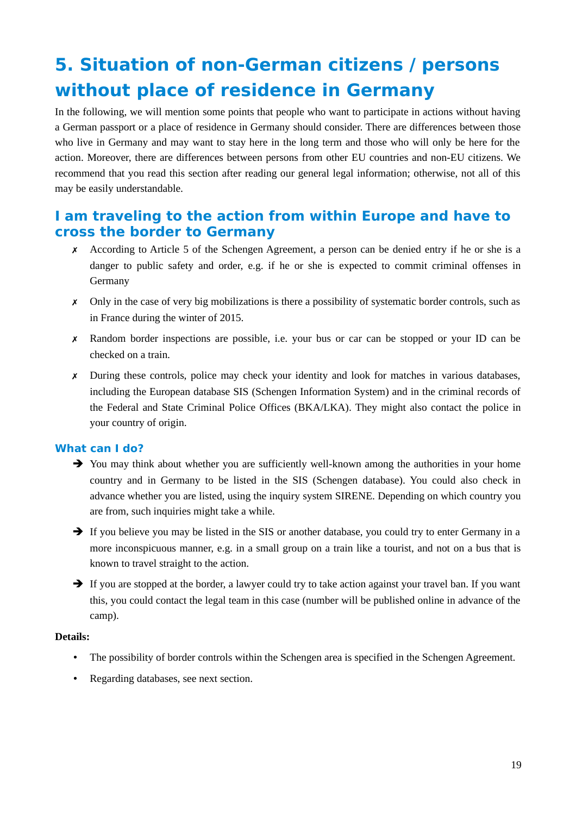# <span id="page-18-1"></span>**5. Situation of non-German citizens / persons without place of residence in Germany**

In the following, we will mention some points that people who want to participate in actions without having a German passport or a place of residence in Germany should consider. There are differences between those who live in Germany and may want to stay here in the long term and those who will only be here for the action. Moreover, there are differences between persons from other EU countries and non-EU citizens. We recommend that you read this section after reading our general legal information; otherwise, not all of this may be easily understandable.

# <span id="page-18-0"></span>**I am traveling to the action from within Europe and have to cross the border to Germany**

- ✗ According to Article 5 of the Schengen Agreement, a person can be denied entry if he or she is a danger to public safety and order, e.g. if he or she is expected to commit criminal offenses in Germany
- ✗ Only in the case of very big mobilizations is there a possibility of systematic border controls, such as in France during the winter of 2015.
- ✗ Random border inspections are possible, i.e. your bus or car can be stopped or your ID can be checked on a train.
- ✗ During these controls, police may check your identity and look for matches in various databases, including the European database SIS (Schengen Information System) and in the criminal records of the Federal and State Criminal Police Offices (BKA/LKA). They might also contact the police in your country of origin.

# **What can I do?**

- → You may think about whether you are sufficiently well-known among the authorities in your home country and in Germany to be listed in the SIS (Schengen database). You could also check in advance whether you are listed, using the inquiry system SIRENE. Depending on which country you are from, such inquiries might take a while.
- → If you believe you may be listed in the SIS or another database, you could try to enter Germany in a more inconspicuous manner, e.g. in a small group on a train like a tourist, and not on a bus that is known to travel straight to the action.
- → If you are stopped at the border, a lawyer could try to take action against your travel ban. If you want this, you could contact the legal team in this case (number will be published online in advance of the camp).

#### **Details:**

- The possibility of border controls within the Schengen area is specified in the Schengen Agreement.
- Regarding databases, see next section.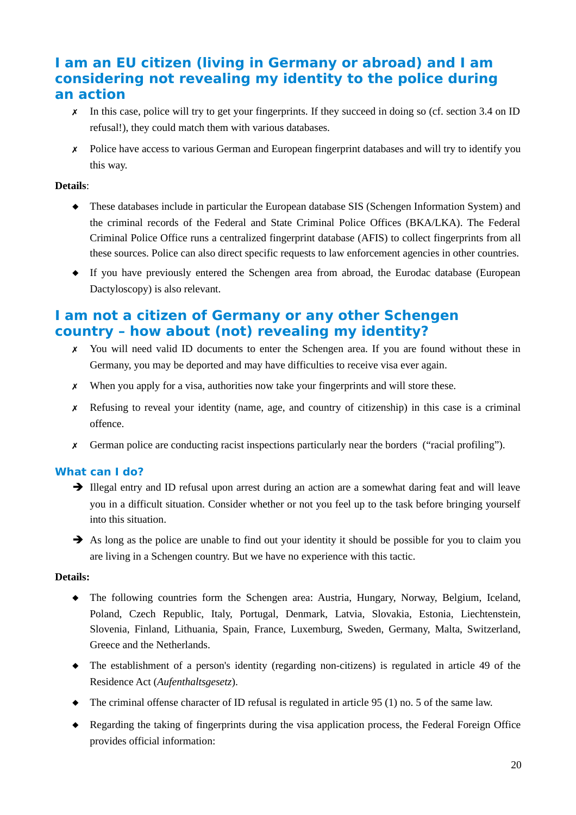# <span id="page-19-1"></span>**I am an EU citizen (living in Germany or abroad) and I am considering not revealing my identity to the police during an action**

- ✗ In this case, police will try to get your fingerprints. If they succeed in doing so (cf. section 3.4 on ID refusal!), they could match them with various databases.
- ✗ Police have access to various German and European fingerprint databases and will try to identify you this way.

### **Details**:

- These databases include in particular the European database SIS (Schengen Information System) and the criminal records of the Federal and State Criminal Police Offices (BKA/LKA). The Federal Criminal Police Office runs a centralized fingerprint database (AFIS) to collect fingerprints from all these sources. Police can also direct specific requests to law enforcement agencies in other countries.
- If you have previously entered the Schengen area from abroad, the Eurodac database (European Dactyloscopy) is also relevant.

# <span id="page-19-0"></span>**I am not a citizen of Germany or any other Schengen country – how about (not) revealing my identity?**

- ✗ You will need valid ID documents to enter the Schengen area. If you are found without these in Germany, you may be deported and may have difficulties to receive visa ever again.
- $\times$  When you apply for a visa, authorities now take your fingerprints and will store these.
- ✗ Refusing to reveal your identity (name, age, and country of citizenship) in this case is a criminal offence.
- ✗ German police are conducting racist inspections particularly near the borders ("racial profiling").

# **What can I do?**

- → Illegal entry and ID refusal upon arrest during an action are a somewhat daring feat and will leave you in a difficult situation. Consider whether or not you feel up to the task before bringing yourself into this situation.
- ➔ As long as the police are unable to find out your identity it should be possible for you to claim you are living in a Schengen country. But we have no experience with this tactic.

#### **Details:**

- The following countries form the Schengen area: Austria, Hungary, Norway, Belgium, Iceland, Poland, Czech Republic, Italy, Portugal, Denmark, Latvia, Slovakia, Estonia, Liechtenstein, Slovenia, Finland, Lithuania, Spain, France, Luxemburg, Sweden, Germany, Malta, Switzerland, Greece and the Netherlands.
- The establishment of a person's identity (regarding non-citizens) is regulated in article 49 of the Residence Act (*Aufenthaltsgesetz*).
- The criminal offense character of ID refusal is regulated in article 95 (1) no. 5 of the same law.
- Regarding the taking of fingerprints during the visa application process, the Federal Foreign Office provides official information: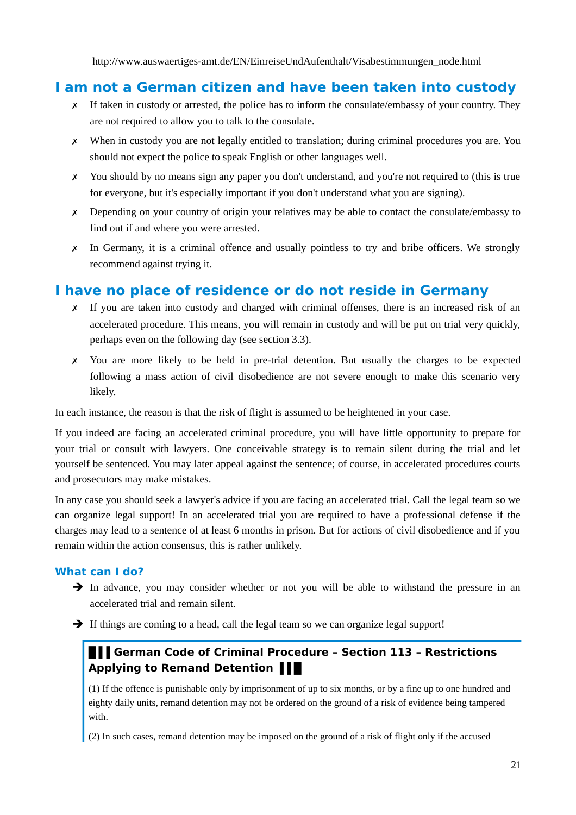http://www.auswaertiges-amt.de/EN/EinreiseUndAufenthalt/Visabestimmungen\_node.html

# <span id="page-20-1"></span>**I am not a German citizen and have been taken into custody**

- ✗ If taken in custody or arrested, the police has to inform the consulate/embassy of your country. They are not required to allow you to talk to the consulate.
- ✗ When in custody you are not legally entitled to translation; during criminal procedures you are. You should not expect the police to speak English or other languages well.
- ✗ You should by no means sign any paper you don't understand, and you're not required to (this is true for everyone, but it's especially important if you don't understand what you are signing).
- ✗ Depending on your country of origin your relatives may be able to contact the consulate/embassy to find out if and where you were arrested.
- ✗ In Germany, it is a criminal offence and usually pointless to try and bribe officers. We strongly recommend against trying it.

# <span id="page-20-0"></span>**I have no place of residence or do not reside in Germany**

- ✗ If you are taken into custody and charged with criminal offenses, there is an increased risk of an accelerated procedure. This means, you will remain in custody and will be put on trial very quickly, perhaps even on the following day (see section 3.3).
- ✗ You are more likely to be held in pre-trial detention. But usually the charges to be expected following a mass action of civil disobedience are not severe enough to make this scenario very likely.

In each instance, the reason is that the risk of flight is assumed to be heightened in your case.

If you indeed are facing an accelerated criminal procedure, you will have little opportunity to prepare for your trial or consult with lawyers. One conceivable strategy is to remain silent during the trial and let yourself be sentenced. You may later appeal against the sentence; of course, in accelerated procedures courts and prosecutors may make mistakes.

In any case you should seek a lawyer's advice if you are facing an accelerated trial. Call the legal team so we can organize legal support! In an accelerated trial you are required to have a professional defense if the charges may lead to a sentence of at least 6 months in prison. But for actions of civil disobedience and if you remain within the action consensus, this is rather unlikely.

# **What can I do?**

- → In advance, you may consider whether or not you will be able to withstand the pressure in an accelerated trial and remain silent.
- $\rightarrow$  If things are coming to a head, call the legal team so we can organize legal support!

# **█ ▌▌German Code of Criminal Procedure – Section 113 – Restrictions Applying to Remand Detention ▐▐ █**

(1) If the offence is punishable only by imprisonment of up to six months, or by a fine up to one hundred and eighty daily units, remand detention may not be ordered on the ground of a risk of evidence being tampered with.

(2) In such cases, remand detention may be imposed on the ground of a risk of flight only if the accused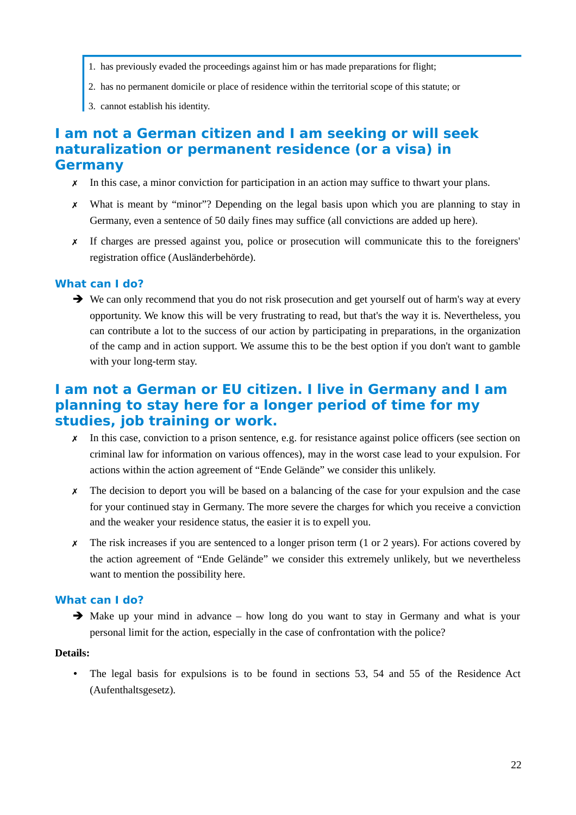- 1. has previously evaded the proceedings against him or has made preparations for flight;
- 2. has no permanent domicile or place of residence within the territorial scope of this statute; or
- 3. cannot establish his identity.

# <span id="page-21-1"></span>**I am not a German citizen and I am seeking or will seek naturalization or permanent residence (or a visa) in Germany**

- ✗ In this case, a minor conviction for participation in an action may suffice to thwart your plans.
- ✗ What is meant by "minor"? Depending on the legal basis upon which you are planning to stay in Germany, even a sentence of 50 daily fines may suffice (all convictions are added up here).
- ✗ If charges are pressed against you, police or prosecution will communicate this to the foreigners' registration office (Ausländerbehörde).

### **What can I do?**

➔ We can only recommend that you do not risk prosecution and get yourself out of harm's way at every opportunity. We know this will be very frustrating to read, but that's the way it is. Nevertheless, you can contribute a lot to the success of our action by participating in preparations, in the organization of the camp and in action support. We assume this to be the best option if you don't want to gamble with your long-term stay.

# <span id="page-21-0"></span>**I am not a German or EU citizen. I live in Germany and I am planning to stay here for a longer period of time for my studies, job training or work.**

- ✗ In this case, conviction to a prison sentence, e.g. for resistance against police officers (see section on criminal law for information on various offences), may in the worst case lead to your expulsion. For actions within the action agreement of "Ende Gelände" we consider this unlikely.
- ✗ The decision to deport you will be based on a balancing of the case for your expulsion and the case for your continued stay in Germany. The more severe the charges for which you receive a conviction and the weaker your residence status, the easier it is to expell you.
- $x$  The risk increases if you are sentenced to a longer prison term (1 or 2 years). For actions covered by the action agreement of "Ende Gelände" we consider this extremely unlikely, but we nevertheless want to mention the possibility here.

#### **What can I do?**

➔ Make up your mind in advance – how long do you want to stay in Germany and what is your personal limit for the action, especially in the case of confrontation with the police?

#### **Details:**

• The legal basis for expulsions is to be found in sections 53, 54 and 55 of the Residence Act (Aufenthaltsgesetz).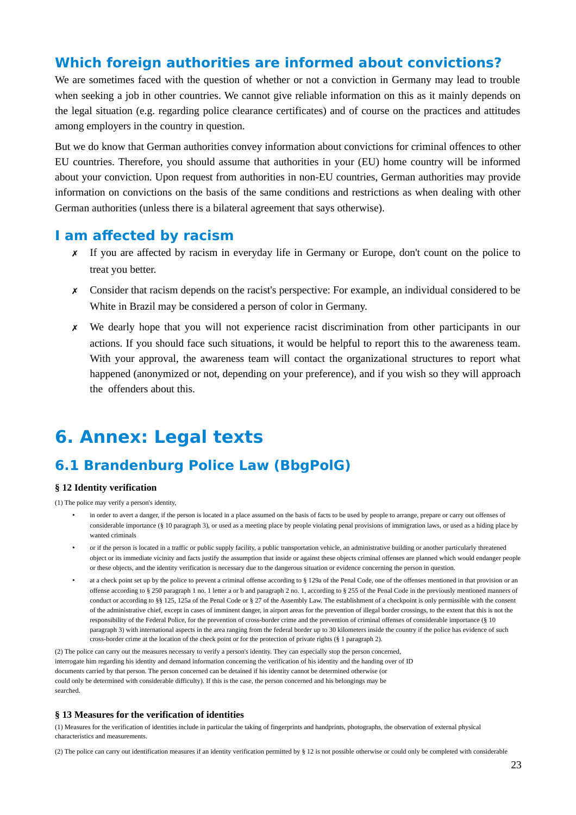# <span id="page-22-3"></span>**Which foreign authorities are informed about convictions?**

We are sometimes faced with the question of whether or not a conviction in Germany may lead to trouble when seeking a job in other countries. We cannot give reliable information on this as it mainly depends on the legal situation (e.g. regarding police clearance certificates) and of course on the practices and attitudes among employers in the country in question.

But we do know that German authorities convey information about convictions for criminal offences to other EU countries. Therefore, you should assume that authorities in your (EU) home country will be informed about your conviction. Upon request from authorities in non-EU countries, German authorities may provide information on convictions on the basis of the same conditions and restrictions as when dealing with other German authorities (unless there is a bilateral agreement that says otherwise).

# <span id="page-22-2"></span>**I am affected by racism**

- ✗ If you are affected by racism in everyday life in Germany or Europe, don't count on the police to treat you better.
- ✗ Consider that racism depends on the racist's perspective: For example, an individual considered to be White in Brazil may be considered a person of color in Germany.
- ✗ We dearly hope that you will not experience racist discrimination from other participants in our actions. If you should face such situations, it would be helpful to report this to the awareness team. With your approval, the awareness team will contact the organizational structures to report what happened (anonymized or not, depending on your preference), and if you wish so they will approach the offenders about this.

# <span id="page-22-1"></span>**6. Annex: Legal texts**

# <span id="page-22-0"></span>**6.1 Brandenburg Police Law (BbgPolG)**

#### **§ 12 Identity verification**

(1) The police may verify a person's identity,

- in order to avert a danger, if the person is located in a place assumed on the basis of facts to be used by people to arrange, prepare or carry out offenses of considerable importance (§ 10 paragraph 3), or used as a meeting place by people violating penal provisions of immigration laws, or used as a hiding place by wanted criminals
- or if the person is located in a traffic or public supply facility, a public transportation vehicle, an administrative building or another particularly threatened object or its immediate vicinity and facts justify the assumption that inside or against these objects criminal offenses are planned which would endanger people or these objects, and the identity verification is necessary due to the dangerous situation or evidence concerning the person in question.
- at a check point set up by the police to prevent a criminal offense according to § 129a of the Penal Code, one of the offenses mentioned in that provision or an offense according to § 250 paragraph 1 no. 1 letter a or b and paragraph 2 no. 1, according to § 255 of the Penal Code in the previously mentioned manners of conduct or according to §§ 125, 125a of the Penal Code or § 27 of the Assembly Law. The establishment of a checkpoint is only permissible with the consent of the administrative chief, except in cases of imminent danger, in airport areas for the prevention of illegal border crossings, to the extent that this is not the responsibility of the Federal Police, for the prevention of cross-border crime and the prevention of criminal offenses of considerable importance (§ 10 paragraph 3) with international aspects in the area ranging from the federal border up to 30 kilometers inside the country if the police has evidence of such cross-border crime at the location of the check point or for the protection of private rights (§ 1 paragraph 2).

(2) The police can carry out the measures necessary to verify a person's identity. They can especially stop the person concerned, interrogate him regarding his identity and demand information concerning the verification of his identity and the handing over of ID documents carried by that person. The person concerned can be detained if his identity cannot be determined otherwise (or could only be determined with considerable difficulty). If this is the case, the person concerned and his belongings may be searched.

#### **§ 13 Measures for the verification of identities**

(1) Measures for the verification of identities include in particular the taking of fingerprints and handprints, photographs, the observation of external physical characteristics and measurements.

(2) The police can carry out identification measures if an identity verification permitted by § 12 is not possible otherwise or could only be completed with considerable